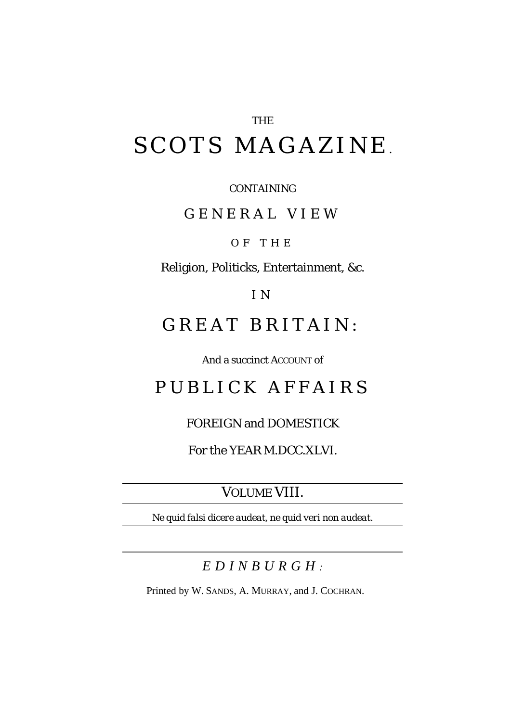# THE SCOTS MAGAZINE *.*

CONTAINING

GENERAL VIEW

OF THE

Religion, Politicks, Entertainment, &c.

I N

## *GREAT BRITAIN :*

And a succinct ACCOUNT of

## PUBLICK AFFAIRS

### FOREIGN and DOMESTICK

For the YEAR M.DCC.XLVI.

VOLUME VIII.

*Ne quid falsi dicere audeat, ne quid veri non audeat.*

### *EDINBURGH :*

Printed by W. SANDS, A. MURRAY, and J. COCHRAN.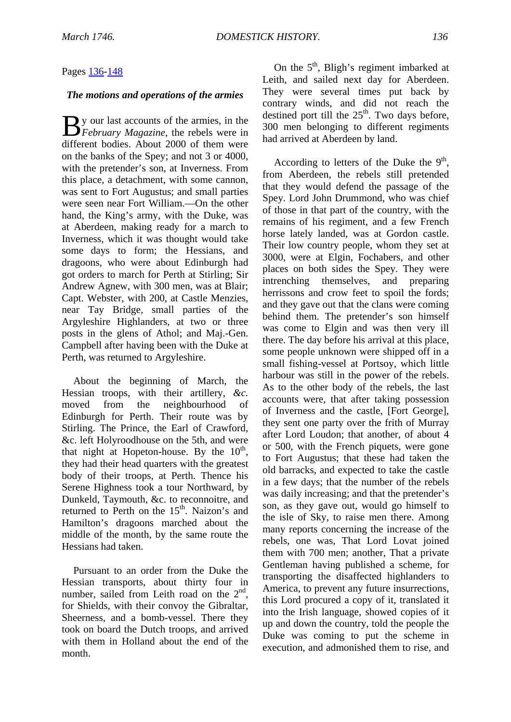#### Pages [136](http://books.google.com/books?id=6y8oAAAAYAAJ&lpg=PA146&ots=FQoznFjfuC&dq=Prince%20Charles%20Stuart%20Tongue%20Hazard&pg=PA136#v=onepage&q=&f=false)[-148](http://books.google.com/books?id=6y8oAAAAYAAJ&lpg=PA146&ots=FQoznFjfuC&dq=Prince%20Charles%20Stuart%20Tongue%20Hazard&pg=PA148#v=onepage&q=&f=false)

#### *The motions and operations of the armies*

y our last accounts of the armies, in the **February Magazine**, the rebels were in different bodies. About 2000 of them were on the banks of the Spey; and not 3 or 4000, with the pretender's son, at Inverness. From this place, a detachment, with some cannon, was sent to Fort Augustus; and small parties were seen near Fort William.—On the other hand, the King's army, with the Duke, was at Aberdeen, making ready for a march to Inverness, which it was thought would take some days to form; the Hessians, and dragoons, who were about Edinburgh had got orders to march for Perth at Stirling; Sir Andrew Agnew, with 300 men, was at Blair; Capt. Webster, with 200, at Castle Menzies, near Tay Bridge*,* small parties of the Argyleshire Highlanders, at two or three posts in the glens of Athol; and Maj.-Gen. Campbell after having been with the Duke at Perth, was returned to Argyleshire.

About the beginning of March, the Hessian troops, with their artillery, *&c.*  moved from the neighbourhood of Edinburgh for Perth. Their route was by Stirling. The Prince, the Earl of Crawford, &c. left Holyroodhouse on the 5th, and were that night at Hopeton-house. By the  $10<sup>th</sup>$ , they had their head quarters with the greatest body of their troops, at Perth. Thence his Serene Highness took a tour Northward, by Dunkeld, Taymouth, &c. to reconnoitre, and returned to Perth on the  $15<sup>th</sup>$ . Naizon's and Hamilton's dragoons marched about the middle of the month, by the same route the Hessians had taken.

Pursuant to an order from the Duke the Hessian transports, about thirty four in number, sailed from Leith road on the 2<sup>nd</sup>, for Shields, with their convoy the Gibraltar, Sheerness, and a bomb-vessel. There they took on board the Dutch troops, and arrived with them in Holland about the end of the month.

On the  $5<sup>th</sup>$ , Bligh's regiment imbarked at Leith, and sailed next day for Aberdeen. They were several times put back by contrary winds, and did not reach the destined port till the  $25<sup>th</sup>$ . Two days before, 300 men belonging to different regiments had arrived at Aberdeen by land.

According to letters of the Duke the  $9<sup>th</sup>$ , from Aberdeen, the rebels still pretended that they would defend the passage of the Spey. Lord John Drummond, who was chief of those in that part of the country, with the remains of his regiment, and a few French horse lately landed, was at Gordon castle. Their low country people, whom they set at 3000, were at Elgin, Fochabers, and other places on both sides the Spey. They were intrenching themselves, and preparing herrissons and crow feet to spoil the fords; and they gave out that the clans were coming behind them. The pretender's son himself was come to Elgin and was then very ill there. The day before his arrival at this place, some people unknown were shipped off in a small fishing-vessel at Portsoy, which little harbour was still in the power of the rebels. As to the other body of the rebels, the last accounts were, that after taking possession of Inverness and the castle, [Fort George], they sent one party over the frith of Murray after Lord Loudon; that another, of about 4 or 500, with the French piquets, were gone to Fort Augustus; that these had taken the old barracks, and expected to take the castle in a few days; that the number of the rebels was daily increasing; and that the pretender's son, as they gave out, would go himself to the isle of Sky, to raise men there. Among many reports concerning the increase of the rebels, one was, That Lord Lovat joined them with 700 men; another, That a private Gentleman having published a scheme, for transporting the disaffected highlanders to America, to prevent any future insurrections, this Lord procured a copy of it, translated it into the Irish language, showed copies of it up and down the country, told the people the Duke was coming to put the scheme in execution, and admonished them to rise, and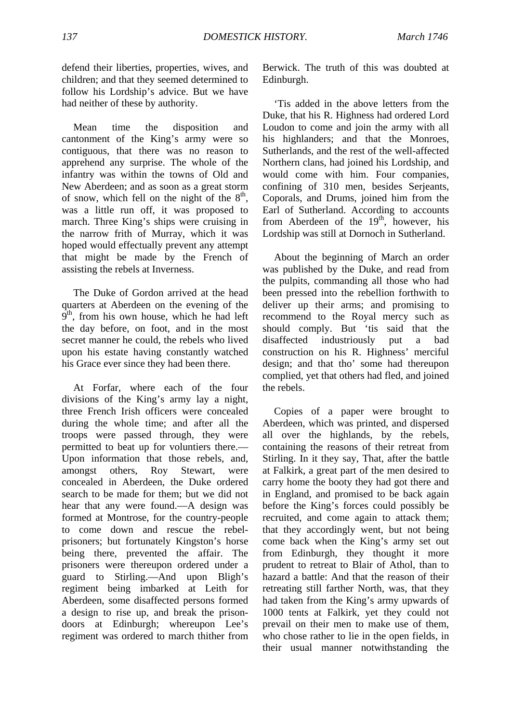defend their liberties, properties, wives, and children; and that they seemed determined to follow his Lordship's advice. But we have had neither of these by authority.

Mean time the disposition and cantonment of the King's army were so contiguous, that there was no reason to apprehend any surprise. The whole of the infantry was within the towns of Old and New Aberdeen; and as soon as a great storm of snow, which fell on the night of the  $8<sup>th</sup>$ , was a little run off, it was proposed to march. Three King's ships were cruising in the narrow frith of Murray, which it was hoped would effectually prevent any attempt that might be made by the French of assisting the rebels at Inverness.

The Duke of Gordon arrived at the head quarters at Aberdeen on the evening of the  $9<sup>th</sup>$ , from his own house, which he had left the day before, on foot, and in the most secret manner he could, the rebels who lived upon his estate having constantly watched his Grace ever since they had been there.

At Forfar, where each of the four divisions of the King's army lay a night, three French Irish officers were concealed during the whole time; and after all the troops were passed through, they were permitted to beat up for voluntiers there.— Upon information that those rebels, and, amongst others, Roy Stewart, were concealed in Aberdeen, the Duke ordered search to be made for them; but we did not hear that any were found.—A design was formed at Montrose, for the country-people to come down and rescue the rebelprisoners; but fortunately Kingston's horse being there, prevented the affair. The prisoners were thereupon ordered under a guard to Stirling.—And upon Bligh's regiment being imbarked at Leith for Aberdeen, some disaffected persons formed a design to rise up, and break the prisondoors at Edinburgh; whereupon Lee's regiment was ordered to march thither from Berwick. The truth of this was doubted at Edinburgh.

'Tis added in the above letters from the Duke, that his R. Highness had ordered Lord Loudon to come and join the army with all his highlanders; and that the Monroes, Sutherlands, and the rest of the well-affected Northern clans, had joined his Lordship, and would come with him. Four companies, confining of 310 men, besides Serjeants, Coporals, and Drums, joined him from the Earl of Sutherland. According to accounts from Aberdeen of the  $19<sup>th</sup>$ , however, his Lordship was still at Dornoch in Sutherland.

About the beginning of March an order was published by the Duke, and read from the pulpits, commanding all those who had been pressed into the rebellion forthwith to deliver up their arms; and promising to recommend to the Royal mercy such as should comply. But 'tis said that the disaffected industriously put a bad construction on his R. Highness' merciful design; and that tho' some had thereupon complied, yet that others had fled, and joined the rebels.

Copies of a paper were brought to Aberdeen, which was printed, and dispersed all over the highlands, by the rebels, containing the reasons of their retreat from Stirling. In it they say, That, after the battle at Falkirk, a great part of the men desired to carry home the booty they had got there and in England, and promised to be back again before the King's forces could possibly be recruited, and come again to attack them; that they accordingly went, but not being come back when the King's army set out from Edinburgh, they thought it more prudent to retreat to Blair of Athol, than to hazard a battle: And that the reason of their retreating still farther North, was, that they had taken from the King's army upwards of 1000 tents at Falkirk, yet they could not prevail on their men to make use of them, who chose rather to lie in the open fields, in their usual manner notwithstanding the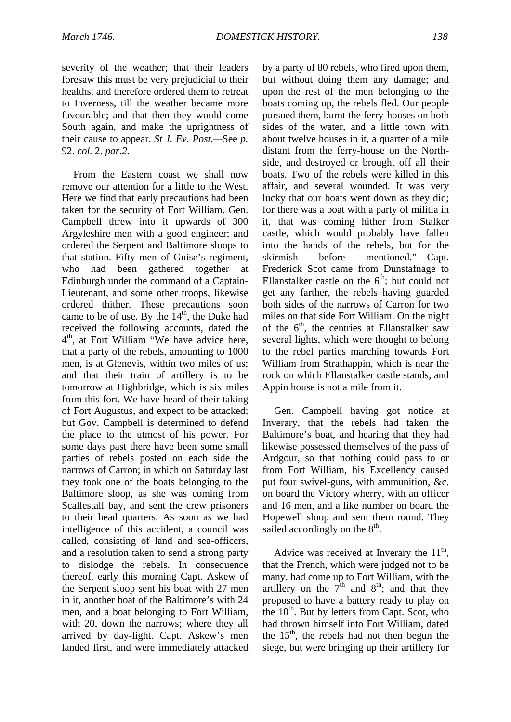severity of the weather; that their leaders foresaw this must be very prejudicial to their healths, and therefore ordered them to retreat to Inverness, till the weather became more favourable; and that then they would come South again, and make the uprightness of their cause to appear. *St J. Ev. Post,—*See *p.*  92. *col.* 2. *par.2.*

From the Eastern coast we shall now remove our attention for a little to the West. Here we find that early precautions had been taken for the security of Fort William. Gen. Campbell threw into it upwards of 300 Argyleshire men with a good engineer; and ordered the Serpent and Baltimore sloops to that station. Fifty men of Guise's regiment, who had been gathered together at Edinburgh under the command of a Captain-Lieutenant, and some other troops, likewise ordered thither. These precautions soon came to be of use. By the  $14<sup>th</sup>$ , the Duke had received the following accounts, dated the 4<sup>th</sup>, at Fort William "We have advice here, that a party of the rebels, amounting to 1000 men, is at Glenevis, within two miles of us; and that their train of artillery is to be tomorrow at Highbridge, which is six miles from this fort. We have heard of their taking of Fort Augustus, and expect to be attacked; but Gov. Campbell is determined to defend the place to the utmost of his power. For some days past there have been some small parties of rebels posted on each side the narrows of Carron; in which on Saturday last they took one of the boats belonging to the Baltimore sloop, as she was coming from Scallestall bay, and sent the crew prisoners to their head quarters. As soon as we had intelligence of this accident, a council was called, consisting of land and sea-officers, and a resolution taken to send a strong party to dislodge the rebels. In consequence thereof, early this morning Capt. Askew of the Serpent sloop sent his boat with 27 men in it, another boat of the Baltimore's with 24 men, and a boat belonging to Fort William, with 20, down the narrows; where they all arrived by day-light. Capt. Askew's men landed first, and were immediately attacked by a party of 80 rebels, who fired upon them, but without doing them any damage; and upon the rest of the men belonging to the boats coming up, the rebels fled. Our people pursued them, burnt the ferry-houses on both sides of the water, and a little town with about twelve houses in it, a quarter of a mile distant from the ferry-house on the Northside, and destroyed or brought off all their boats. Two of the rebels were killed in this affair, and several wounded. It was very lucky that our boats went down as they did; for there was a boat with a party of militia in it, that was coming hither from Stalker castle, which would probably have fallen into the hands of the rebels, but for the skirmish before mentioned."—Capt. Frederick Scot came from Dunstafnage to Ellanstalker castle on the  $6<sup>th</sup>$ ; but could not get any farther, the rebels having guarded both sides of the narrows of Carron for two miles on that side Fort William. On the night of the  $6<sup>th</sup>$ , the centries at Ellanstalker saw several lights, which were thought to belong to the rebel parties marching towards Fort William from Strathappin, which is near the rock on which Ellanstalker castle stands, and Appin house is not a mile from it.

Gen. Campbell having got notice at Inverary, that the rebels had taken the Baltimore's boat, and hearing that they had likewise possessed themselves of the pass of Ardgour, so that nothing could pass to or from Fort William, his Excellency caused put four swivel-guns, with ammunition, &c. on board the Victory wherry, with an officer and 16 men, and a like number on board the Hopewell sloop and sent them round. They sailed accordingly on the  $8<sup>th</sup>$ .

Advice was received at Inverary the  $11<sup>th</sup>$ , that the French, which were judged not to be many, had come up to Fort William, with the artillery on the  $7<sup>th</sup>$  and  $8<sup>th</sup>$ ; and that they proposed to have a battery ready to play on the  $10^{th}$ . But by letters from Capt. Scot, who had thrown himself into Fort William, dated the  $15<sup>th</sup>$ , the rebels had not then begun the siege, but were bringing up their artillery for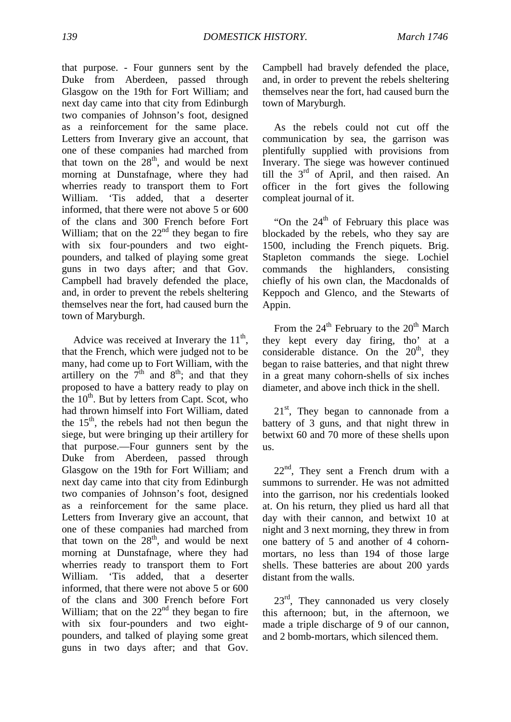that purpose. - Four gunners sent by the Duke from Aberdeen, passed through Glasgow on the 19th for Fort William; and next day came into that city from Edinburgh two companies of Johnson's foot, designed as a reinforcement for the same place. Letters from Inverary give an account, that one of these companies had marched from that town on the  $28<sup>th</sup>$ , and would be next morning at Dunstafnage, where they had wherries ready to transport them to Fort William. 'Tis added, that a deserter informed, that there were not above 5 or 600 of the clans and 300 French before Fort William; that on the  $22<sup>nd</sup>$  they began to fire with six four-pounders and two eightpounders, and talked of playing some great guns in two days after; and that Gov. Campbell had bravely defended the place, and, in order to prevent the rebels sheltering themselves near the fort, had caused burn the town of Maryburgh.

Advice was received at Inverary the  $11<sup>th</sup>$ , that the French, which were judged not to be many, had come up to Fort William, with the artillery on the  $7<sup>th</sup>$  and  $8<sup>th</sup>$ ; and that they proposed to have a battery ready to play on the  $10^{th}$ . But by letters from Capt. Scot, who had thrown himself into Fort William, dated the  $15<sup>th</sup>$ , the rebels had not then begun the siege, but were bringing up their artillery for that purpose.—Four gunners sent by the Duke from Aberdeen, passed through Glasgow on the 19th for Fort William; and next day came into that city from Edinburgh two companies of Johnson's foot, designed as a reinforcement for the same place. Letters from Inverary give an account, that one of these companies had marched from that town on the  $28<sup>th</sup>$ , and would be next morning at Dunstafnage, where they had wherries ready to transport them to Fort William. 'Tis added, that a deserter informed, that there were not above 5 or 600 of the clans and 300 French before Fort William; that on the  $22<sup>nd</sup>$  they began to fire with six four-pounders and two eightpounders, and talked of playing some great guns in two days after; and that Gov.

Campbell had bravely defended the place, and, in order to prevent the rebels sheltering themselves near the fort, had caused burn the town of Maryburgh.

As the rebels could not cut off the communication by sea, the garrison was plentifully supplied with provisions from Inverary. The siege was however continued till the  $3<sup>rd</sup>$  of April, and then raised. An officer in the fort gives the following compleat journal of it.

"On the  $24<sup>th</sup>$  of February this place was blockaded by the rebels, who they say are 1500, including the French piquets. Brig. Stapleton commands the siege. Lochiel commands the highlanders, consisting chiefly of his own clan, the Macdonalds of Keppoch and Glenco, and the Stewarts of Appin.

From the  $24^{th}$  February to the  $20^{th}$  March they kept every day firing, tho' at a considerable distance. On the  $20<sup>th</sup>$ , they began to raise batteries, and that night threw in a great many cohorn-shells of six inches diameter, and above inch thick in the shell.

 $21<sup>st</sup>$ , They began to cannonade from a battery of 3 guns, and that night threw in betwixt 60 and 70 more of these shells upon us.

 $22<sup>nd</sup>$ , They sent a French drum with a summons to surrender. He was not admitted into the garrison, nor his credentials looked at. On his return, they plied us hard all that day with their cannon, and betwixt 10 at night and 3 next morning, they threw in from one battery of 5 and another of 4 cohornmortars, no less than 194 of those large shells. These batteries are about 200 yards distant from the walls.

 $23<sup>rd</sup>$ , They cannonaded us very closely this afternoon; but, in the afternoon, we made a triple discharge of 9 of our cannon, and 2 bomb-mortars, which silenced them.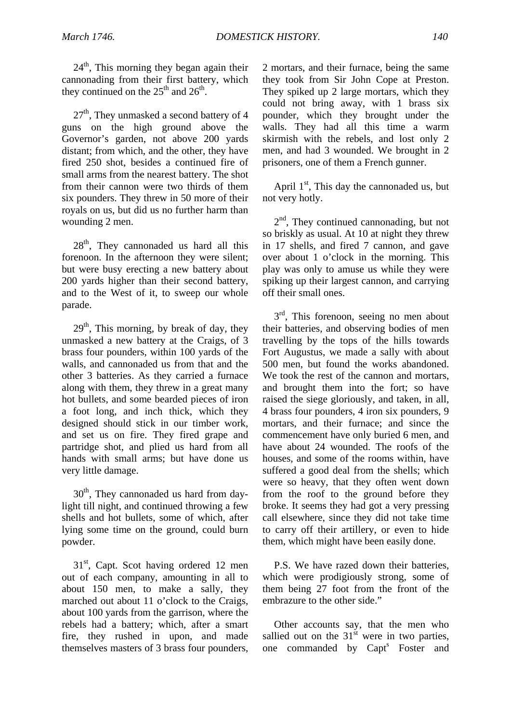$24<sup>th</sup>$ , This morning they began again their cannonading from their first battery, which they continued on the  $25<sup>th</sup>$  and  $26<sup>th</sup>$ .

 $27<sup>th</sup>$ , They unmasked a second battery of 4 guns on the high ground above the Governor's garden, not above 200 yards distant; from which, and the other, they have fired 250 shot, besides a continued fire of small arms from the nearest battery. The shot from their cannon were two thirds of them six pounders. They threw in 50 more of their royals on us, but did us no further harm than wounding 2 men.

 $28<sup>th</sup>$ , They cannonaded us hard all this forenoon. In the afternoon they were silent; but were busy erecting a new battery about 200 yards higher than their second battery, and to the West of it, to sweep our whole parade.

 $29<sup>th</sup>$ , This morning, by break of day, they unmasked a new battery at the Craigs, of 3 brass four pounders, within 100 yards of the walls, and cannonaded us from that and the other 3 batteries. As they carried a furnace along with them, they threw in a great many hot bullets, and some bearded pieces of iron a foot long, and inch thick, which they designed should stick in our timber work, and set us on fire. They fired grape and partridge shot, and plied us hard from all hands with small arms; but have done us very little damage.

 $30<sup>th</sup>$ , They cannonaded us hard from daylight till night, and continued throwing a few shells and hot bullets, some of which, after lying some time on the ground, could burn powder.

 $31<sup>st</sup>$ , Capt. Scot having ordered 12 men out of each company, amounting in all to about 150 men, to make a sally, they marched out about 11 o'clock to the Craigs, about 100 yards from the garrison, where the rebels had a battery; which, after a smart fire, they rushed in upon, and made themselves masters of 3 brass four pounders, 2 mortars, and their furnace, being the same they took from Sir John Cope at Preston. They spiked up 2 large mortars, which they could not bring away, with 1 brass six pounder, which they brought under the walls. They had all this time a warm skirmish with the rebels, and lost only 2 men, and had 3 wounded. We brought in 2 prisoners, one of them a French gunner.

April  $1<sup>st</sup>$ , This day the cannonaded us, but not very hotly.

 $2<sup>nd</sup>$ , They continued cannonading, but not so briskly as usual. At 10 at night they threw in 17 shells, and fired 7 cannon, and gave over about 1 o'clock in the morning. This play was only to amuse us while they were spiking up their largest cannon, and carrying off their small ones.

 $3<sup>rd</sup>$ , This forenoon, seeing no men about their batteries, and observing bodies of men travelling by the tops of the hills towards Fort Augustus, we made a sally with about 500 men, but found the works abandoned. We took the rest of the cannon and mortars, and brought them into the fort; so have raised the siege gloriously, and taken, in all, 4 brass four pounders, 4 iron six pounders, 9 mortars, and their furnace; and since the commencement have only buried 6 men, and have about 24 wounded. The roofs of the houses, and some of the rooms within, have suffered a good deal from the shells; which were so heavy, that they often went down from the roof to the ground before they broke. It seems they had got a very pressing call elsewhere, since they did not take time to carry off their artillery, or even to hide them, which might have been easily done.

P.S. We have razed down their batteries, which were prodigiously strong, some of them being 27 foot from the front of the embrazure to the other side."

Other accounts say, that the men who sallied out on the  $31<sup>st</sup>$  were in two parties, one commanded by Capt<sup>s</sup> Foster and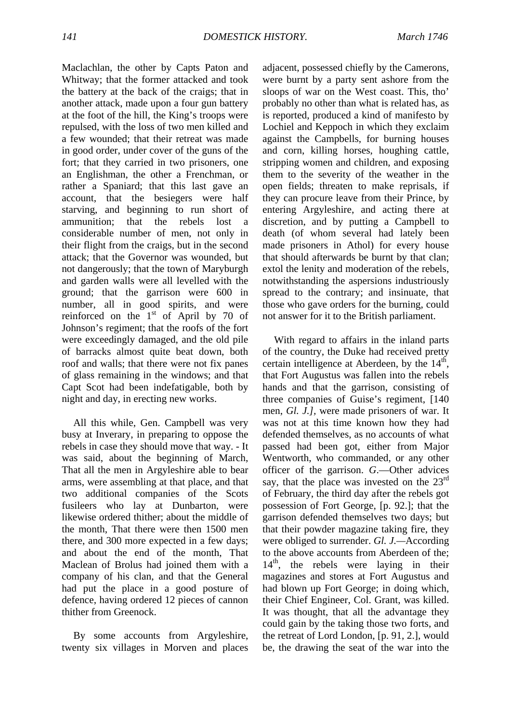Maclachlan, the other by Capts Paton and Whitway; that the former attacked and took the battery at the back of the craigs; that in another attack, made upon a four gun battery at the foot of the hill, the King's troops were repulsed, with the loss of two men killed and a few wounded; that their retreat was made in good order, under cover of the guns of the fort; that they carried in two prisoners, one an Englishman, the other a Frenchman, or rather a Spaniard; that this last gave an account, that the besiegers were half starving, and beginning to run short of ammunition; that the rebels lost a considerable number of men, not only in their flight from the craigs, but in the second attack; that the Governor was wounded, but not dangerously; that the town of Maryburgh and garden walls were all levelled with the ground; that the garrison were 600 in number, all in good spirits, and were reinforced on the  $1<sup>st</sup>$  of April by 70 of Johnson's regiment; that the roofs of the fort were exceedingly damaged, and the old pile of barracks almost quite beat down, both roof and walls; that there were not fix panes of glass remaining in the windows; and that Capt Scot had been indefatigable, both by night and day, in erecting new works.

All this while, Gen. Campbell was very busy at Inverary, in preparing to oppose the rebels in case they should move that way. - It was said, about the beginning of March, That all the men in Argyleshire able to bear arms, were assembling at that place, and that two additional companies of the Scots fusileers who lay at Dunbarton, were likewise ordered thither; about the middle of the month, That there were then 1500 men there, and 300 more expected in a few days; and about the end of the month, That Maclean of Brolus had joined them with a company of his clan, and that the General had put the place in a good posture of defence, having ordered 12 pieces of cannon thither from Greenock.

By some accounts from Argyleshire, twenty six villages in Morven and places adjacent, possessed chiefly by the Camerons, were burnt by a party sent ashore from the sloops of war on the West coast. This, tho' probably no other than what is related has, as is reported, produced a kind of manifesto by Lochiel and Keppoch in which they exclaim against the Campbells, for burning houses and corn, killing horses, houghing cattle, stripping women and children, and exposing them to the severity of the weather in the open fields; threaten to make reprisals, if they can procure leave from their Prince, by entering Argyleshire, and acting there at discretion, and by putting a Campbell to death (of whom several had lately been made prisoners in Athol) for every house that should afterwards be burnt by that clan; extol the lenity and moderation of the rebels, notwithstanding the aspersions industriously spread to the contrary; and insinuate, that those who gave orders for the burning, could not answer for it to the British parliament.

With regard to affairs in the inland parts of the country, the Duke had received pretty certain intelligence at Aberdeen, by the  $14<sup>th</sup>$ , that Fort Augustus was fallen into the rebels hands and that the garrison, consisting of three companies of Guise's regiment, [140 men, *Gl. J.],* were made prisoners of war. It was not at this time known how they had defended themselves, as no accounts of what passed had been got, either from Major Wentworth, who commanded, or any other officer of the garrison. *G*.—Other advices say, that the place was invested on the  $23<sup>rd</sup>$ of February, the third day after the rebels got possession of Fort George, [p. 92.]; that the garrison defended themselves two days; but that their powder magazine taking fire, they were obliged to surrender. *Gl. J.—*According to the above accounts from Aberdeen of the;  $14<sup>th</sup>$ , the rebels were laying in their magazines and stores at Fort Augustus and had blown up Fort George; in doing which, their Chief Engineer, Col. Grant, was killed. It was thought, that all the advantage they could gain by the taking those two forts, and the retreat of Lord London, [p. 91, 2.], would be, the drawing the seat of the war into the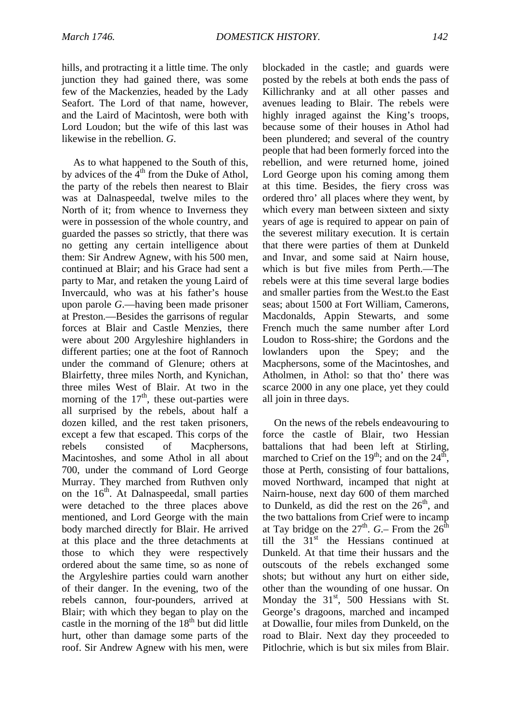hills, and protracting it a little time. The only junction they had gained there, was some few of the Mackenzies, headed by the Lady Seafort. The Lord of that name, however, and the Laird of Macintosh, were both with Lord Loudon; but the wife of this last was likewise in the rebellion. *G*.

As to what happened to the South of this, by advices of the  $4<sup>th</sup>$  from the Duke of Athol, the party of the rebels then nearest to Blair was at Dalnaspeedal, twelve miles to the North of it; from whence to Inverness they were in possession of the whole country, and guarded the passes so strictly, that there was no getting any certain intelligence about them: Sir Andrew Agnew, with his 500 men, continued at Blair; and his Grace had sent a party to Mar, and retaken the young Laird of Invercauld, who was at his father's house upon parole *G*.—having been made prisoner at Preston.—Besides the garrisons of regular forces at Blair and Castle Menzies, there were about 200 Argyleshire highlanders in different parties; one at the foot of Rannoch under the command of Glenure; others at Blairfetty, three miles North, and Kynichan, three miles West of Blair. At two in the morning of the  $17<sup>th</sup>$ , these out-parties were all surprised by the rebels, about half a dozen killed, and the rest taken prisoners, except a few that escaped. This corps of the rebels consisted of Macphersons, Macintoshes, and some Athol in all about 700, under the command of Lord George Murray. They marched from Ruthven only on the  $16<sup>th</sup>$ . At Dalnaspeedal, small parties were detached to the three places above mentioned, and Lord George with the main body marched directly for Blair. He arrived at this place and the three detachments at those to which they were respectively ordered about the same time, so as none of the Argyleshire parties could warn another of their danger. In the evening, two of the rebels cannon, four-pounders, arrived at Blair; with which they began to play on the castle in the morning of the  $18<sup>th</sup>$  but did little hurt, other than damage some parts of the roof. Sir Andrew Agnew with his men, were blockaded in the castle; and guards were posted by the rebels at both ends the pass of Killichranky and at all other passes and avenues leading to Blair. The rebels were highly inraged against the King's troops, because some of their houses in Athol had been plundered; and several of the country people that had been formerly forced into the rebellion, and were returned home, joined Lord George upon his coming among them at this time. Besides, the fiery cross was ordered thro' all places where they went, by which every man between sixteen and sixty years of age is required to appear on pain of the severest military execution. It is certain that there were parties of them at Dunkeld and Invar, and some said at Nairn house, which is but five miles from Perth.—The rebels were at this time several large bodies and smaller parties from the West.to the East seas; about 1500 at Fort William, Camerons, Macdonalds, Appin Stewarts, and some French much the same number after Lord Loudon to Ross-shire; the Gordons and the lowlanders upon the Spey; and the Macphersons, some of the Macintoshes, and Atholmen, in Athol: so that tho' there was scarce 2000 in any one place, yet they could all join in three days.

On the news of the rebels endeavouring to force the castle of Blair, two Hessian battalions that had been left at Stirling, marched to Crief on the  $19<sup>th</sup>$ ; and on the  $24<sup>th</sup>$ , those at Perth, consisting of four battalions, moved Northward, incamped that night at Nairn-house, next day 600 of them marched to Dunkeld, as did the rest on the  $26<sup>th</sup>$ , and the two battalions from Crief were to incamp at Tay bridge on the  $27^{\text{th}}$ . *G*.– From the  $26^{\text{th}}$ till the  $31<sup>st</sup>$  the Hessians continued at Dunkeld. At that time their hussars and the outscouts of the rebels exchanged some shots; but without any hurt on either side, other than the wounding of one hussar. On Monday the  $31<sup>st</sup>$ , 500 Hessians with St. George's dragoons, marched and incamped at Dowallie, four miles from Dunkeld, on the road to Blair. Next day they proceeded to Pitlochrie, which is but six miles from Blair.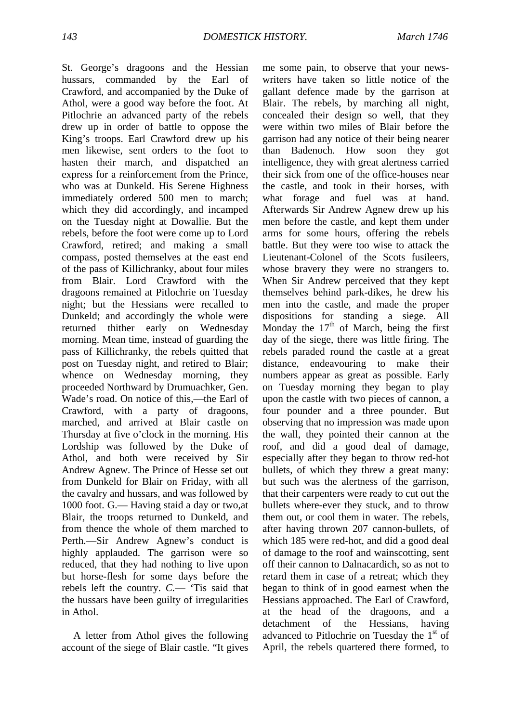St. George's dragoons and the Hessian hussars, commanded by the Earl of Crawford, and accompanied by the Duke of Athol, were a good way before the foot. At Pitlochrie an advanced party of the rebels drew up in order of battle to oppose the King's troops. Earl Crawford drew up his men likewise, sent orders to the foot to hasten their march, and dispatched an express for a reinforcement from the Prince, who was at Dunkeld. His Serene Highness immediately ordered 500 men to march; which they did accordingly, and incamped on the Tuesday night at Dowallie. But the rebels, before the foot were come up to Lord Crawford, retired; and making a small compass, posted themselves at the east end of the pass of Killichranky, about four miles from Blair. Lord Crawford with the dragoons remained at Pitlochrie on Tuesday night; but the Hessians were recalled to Dunkeld; and accordingly the whole were returned thither early on Wednesday morning. Mean time, instead of guarding the pass of Killichranky, the rebels quitted that post on Tuesday night, and retired to Blair; whence on Wednesday morning, they proceeded Northward by Drumuachker, Gen. Wade's road. On notice of this,—the Earl of Crawford, with a party of dragoons, marched, and arrived at Blair castle on Thursday at five o'clock in the morning. His Lordship was followed by the Duke of Athol, and both were received by Sir Andrew Agnew. The Prince of Hesse set out from Dunkeld for Blair on Friday, with all the cavalry and hussars, and was followed by 1000 foot. G.— Having staid a day or two,at Blair, the troops returned to Dunkeld, and from thence the whole of them marched to Perth.—Sir Andrew Agnew's conduct is highly applauded. The garrison were so reduced, that they had nothing to live upon but horse-flesh for some days before the rebels left the country. *C.*— 'Tis said that the hussars have been guilty of irregularities in Athol.

A letter from Athol gives the following account of the siege of Blair castle. "It gives

me some pain, to observe that your newswriters have taken so little notice of the gallant defence made by the garrison at Blair. The rebels, by marching all night, concealed their design so well, that they were within two miles of Blair before the garrison had any notice of their being nearer than Badenoch. How soon they got intelligence, they with great alertness carried their sick from one of the office-houses near the castle, and took in their horses, with what forage and fuel was at hand. Afterwards Sir Andrew Agnew drew up his men before the castle, and kept them under arms for some hours, offering the rebels battle. But they were too wise to attack the Lieutenant-Colonel of the Scots fusileers, whose bravery they were no strangers to. When Sir Andrew perceived that they kept themselves behind park-dikes, he drew his men into the castle, and made the proper dispositions for standing a siege. All Monday the  $17<sup>th</sup>$  of March, being the first day of the siege, there was little firing. The rebels paraded round the castle at a great distance, endeavouring to make their numbers appear as great as possible. Early on Tuesday morning they began to play upon the castle with two pieces of cannon, a four pounder and a three pounder. But observing that no impression was made upon the wall, they pointed their cannon at the roof, and did a good deal of damage, especially after they began to throw red-hot bullets, of which they threw a great many: but such was the alertness of the garrison, that their carpenters were ready to cut out the bullets where-ever they stuck, and to throw them out, or cool them in water. The rebels, after having thrown 207 cannon-bullets, of which 185 were red-hot, and did a good deal of damage to the roof and wainscotting, sent off their cannon to Dalnacardich, so as not to retard them in case of a retreat; which they began to think of in good earnest when the Hessians approached. The Earl of Crawford, at the head of the dragoons, and a detachment of the Hessians, having advanced to Pitlochrie on Tuesday the  $1<sup>st</sup>$  of April, the rebels quartered there formed, to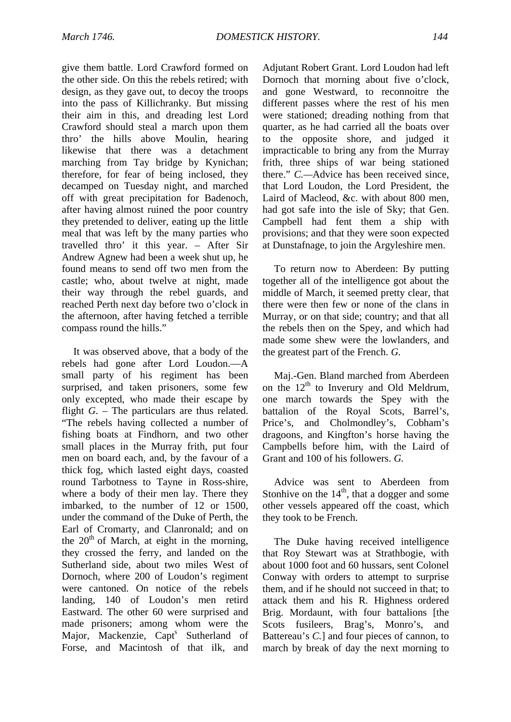give them battle. Lord Crawford formed on the other side. On this the rebels retired; with design, as they gave out, to decoy the troops into the pass of Killichranky. But missing their aim in this, and dreading lest Lord Crawford should steal a march upon them thro' the hills above Moulin, hearing likewise that there was a detachment marching from Tay bridge by Kynichan; therefore, for fear of being inclosed, they decamped on Tuesday night, and marched off with great precipitation for Badenoch, after having almost ruined the poor country they pretended to deliver, eating up the little meal that was left by the many parties who travelled thro' it this year. – After Sir Andrew Agnew had been a week shut up, he found means to send off two men from the castle; who, about twelve at night, made their way through the rebel guards, and reached Perth next day before two o'clock in the afternoon, after having fetched a terrible compass round the hills."

It was observed above, that a body of the rebels had gone after Lord Loudon.—A small party of his regiment has been surprised, and taken prisoners, some few only excepted, who made their escape by flight *G*. – The particulars are thus related. "The rebels having collected a number of fishing boats at Findhorn, and two other small places in the Murray frith, put four men on board each, and, by the favour of a thick fog, which lasted eight days, coasted round Tarbotness to Tayne in Ross-shire, where a body of their men lay. There they imbarked, to the number of 12 or 1500, under the command of the Duke of Perth, the Earl of Cromarty, and Clanronald; and on the  $20<sup>th</sup>$  of March, at eight in the morning, they crossed the ferry, and landed on the Sutherland side, about two miles West of Dornoch, where 200 of Loudon's regiment were cantoned. On notice of the rebels landing, 140 of Loudon's men retird Eastward. The other 60 were surprised and made prisoners; among whom were the Major, Mackenzie, Capt<sup>s</sup> Sutherland of Forse, and Macintosh of that ilk, and Adjutant Robert Grant. Lord Loudon had left Dornoch that morning about five o'clock, and gone Westward, to reconnoitre the different passes where the rest of his men were stationed; dreading nothing from that quarter, as he had carried all the boats over to the opposite shore, and judged it impracticable to bring any from the Murray frith, three ships of war being stationed there." *C.—*Advice has been received since, that Lord Loudon, the Lord President, the Laird of Macleod, &c. with about 800 men, had got safe into the isle of Sky; that Gen. Campbell had fent them a ship with provisions; and that they were soon expected at Dunstafnage, to join the Argyleshire men.

To return now to Aberdeen: By putting together all of the intelligence got about the middle of March, it seemed pretty clear, that there were then few or none of the clans in Murray, or on that side; country; and that all the rebels then on the Spey, and which had made some shew were the lowlanders, and the greatest part of the French. *G.*

Maj.-Gen. Bland marched from Aberdeen on the  $12<sup>th</sup>$  to Inverury and Old Meldrum, one march towards the Spey with the battalion of the Royal Scots, Barrel's, Price's, and Cholmondley's, Cobham's dragoons, and Kingfton's horse having the Campbells before him, with the Laird of Grant and 100 of his followers. *G.*

Advice was sent to Aberdeen from Stonhive on the  $14<sup>th</sup>$ , that a dogger and some other vessels appeared off the coast, which they took to be French.

The Duke having received intelligence that Roy Stewart was at Strathbogie, with about 1000 foot and 60 hussars, sent Colonel Conway with orders to attempt to surprise them, and if he should not succeed in that; to attack them and his R. Highness ordered Brig. Mordaunt, with four battalions [the Scots fusileers, Brag's, Monro's, and Battereau's *C.*] and four pieces of cannon, to march by break of day the next morning to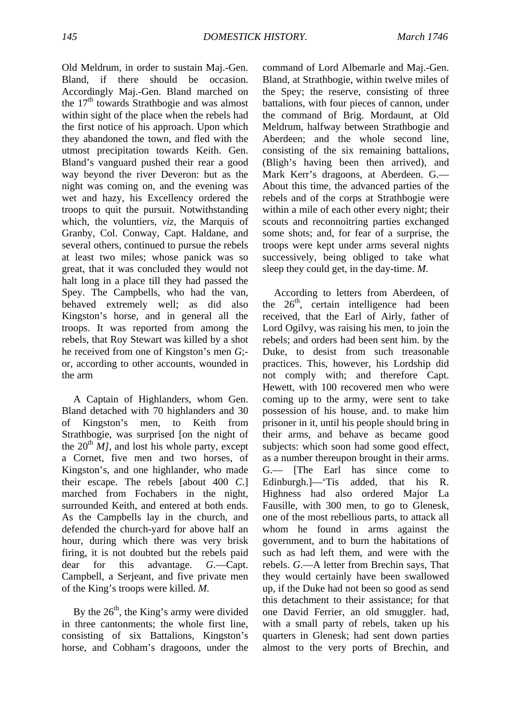Old Meldrum, in order to sustain Maj.-Gen. Bland, if there should be occasion. Accordingly Maj.-Gen. Bland marched on the 17<sup>th</sup> towards Strathbogie and was almost within sight of the place when the rebels had the first notice of his approach. Upon which they abandoned the town, and fled with the utmost precipitation towards Keith. Gen. Bland's vanguard pushed their rear a good way beyond the river Deveron: but as the night was coming on, and the evening was wet and hazy, his Excellency ordered the troops to quit the pursuit. Notwithstanding which, the voluntiers, *viz,* the Marquis of Granby, Col. Conway, Capt. Haldane, and several others, continued to pursue the rebels at least two miles; whose panick was so great, that it was concluded they would not halt long in a place till they had passed the Spey. The Campbells, who had the van, behaved extremely well; as did also Kingston's horse, and in general all the troops. It was reported from among the rebels, that Roy Stewart was killed by a shot he received from one of Kingston's men *G*; or, according to other accounts, wounded in the arm

A Captain of Highlanders, whom Gen. Bland detached with 70 highlanders and 30 of Kingston's men, to Keith from Strathbogie, was surprised [on the night of the  $20^{th}$  *MI*, and lost his whole party, except a Cornet, five men and two horses, of Kingston's, and one highlander, who made their escape. The rebels [about 400 *C*.] marched from Fochabers in the night, surrounded Keith, and entered at both ends. As the Campbells lay in the church, and defended the church-yard for above half an hour, during which there was very brisk firing, it is not doubted but the rebels paid dear for this advantage. *G*.—Capt. Campbell, a Serjeant, and five private men of the King's troops were killed. *M.*

By the  $26<sup>th</sup>$ , the King's army were divided in three cantonments; the whole first line, consisting of six Battalions, Kingston's horse, and Cobham's dragoons, under the command of Lord Albemarle and Maj.-Gen. Bland, at Strathbogie, within twelve miles of the Spey; the reserve, consisting of three battalions, with four pieces of cannon, under the command of Brig. Mordaunt, at Old Meldrum, halfway between Strathbogie and Aberdeen; and the whole second line, consisting of the six remaining battalions, (Bligh's having been then arrived), and Mark Kerr's dragoons, at Aberdeen. G.— About this time, the advanced parties of the rebels and of the corps at Strathbogie were within a mile of each other every night; their scouts and reconnoitring parties exchanged some shots; and, for fear of a surprise, the troops were kept under arms several nights successively, being obliged to take what sleep they could get, in the day-time. *M.*

According to letters from Aberdeen, of the  $26<sup>th</sup>$ , certain intelligence had been received, that the Earl of Airly, father of Lord Ogilvy, was raising his men, to join the rebels; and orders had been sent him. by the Duke, to desist from such treasonable practices. This, however, his Lordship did not comply with; and therefore Capt. Hewett, with 100 recovered men who were coming up to the army, were sent to take possession of his house, and. to make him prisoner in it, until his people should bring in their arms, and behave as became good subjects: which soon had some good effect, as a number thereupon brought in their arms. G.— [The Earl has since come to Edinburgh.]—'Tis added, that his R. Highness had also ordered Major La Fausille, with 300 men, to go to Glenesk, one of the most rebellious parts, to attack all whom he found in arms against the government, and to burn the habitations of such as had left them, and were with the rebels. *G*.—A letter from Brechin says, That they would certainly have been swallowed up, if the Duke had not been so good as send this detachment to their assistance; for that one David Ferrier, an old smuggler. had, with a small party of rebels, taken up his quarters in Glenesk; had sent down parties almost to the very ports of Brechin, and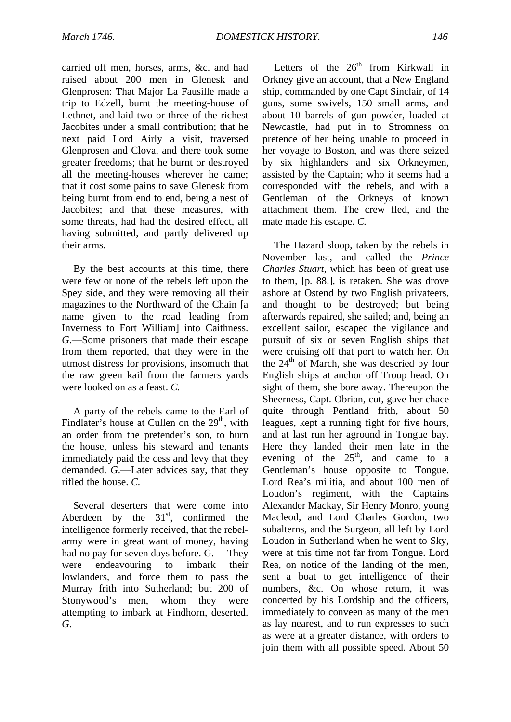carried off men, horses, arms, &c. and had raised about 200 men in Glenesk and Glenprosen: That Major La Fausille made a trip to Edzell, burnt the meeting-house of Lethnet, and laid two or three of the richest Jacobites under a small contribution; that he next paid Lord Airly a visit, traversed Glenprosen and Clova, and there took some greater freedoms; that he burnt or destroyed all the meeting-houses wherever he came; that it cost some pains to save Glenesk from being burnt from end to end, being a nest of Jacobites; and that these measures, with some threats, had had the desired effect, all having submitted, and partly delivered up their arms.

By the best accounts at this time, there were few or none of the rebels left upon the Spey side, and they were removing all their magazines to the Northward of the Chain [a name given to the road leading from Inverness to Fort William] into Caithness. *G*.—Some prisoners that made their escape from them reported, that they were in the utmost distress for provisions, insomuch that the raw green kail from the farmers yards were looked on as a feast. *C.*

A party of the rebels came to the Earl of Findlater's house at Cullen on the  $29<sup>th</sup>$ , with an order from the pretender's son, to burn the house, unless his steward and tenants immediately paid the cess and levy that they demanded. *G*.—Later advices say, that they rifled the house. *C.*

Several deserters that were come into Aberdeen by the  $31<sup>st</sup>$ , confirmed the intelligence formerly received, that the rebelarmy were in great want of money, having had no pay for seven days before. G.— They were endeavouring to imbark their lowlanders, and force them to pass the Murray frith into Sutherland; but 200 of Stonywood's men, whom they were attempting to imbark at Findhorn, deserted. *G*.

Letters of the  $26<sup>th</sup>$  from Kirkwall in Orkney give an account, that a New England ship, commanded by one Capt Sinclair, of 14 guns, some swivels, 150 small arms, and about 10 barrels of gun powder, loaded at Newcastle, had put in to Stromness on pretence of her being unable to proceed in her voyage to Boston, and was there seized by six highlanders and six Orkneymen, assisted by the Captain; who it seems had a corresponded with the rebels, and with a Gentleman of the Orkneys of known attachment them. The crew fled, and the mate made his escape. *C.*

The Hazard sloop, taken by the rebels in November last, and called the *Prince Charles Stuart,* which has been of great use to them, [p*.* 88.], is retaken. She was drove ashore at Ostend by two English privateers, and thought to be destroyed; but being afterwards repaired, she sailed; and, being an excellent sailor, escaped the vigilance and pursuit of six or seven English ships that were cruising off that port to watch her. On the  $24<sup>th</sup>$  of March, she was descried by four English ships at anchor off Troup head. On sight of them, she bore away. Thereupon the Sheerness, Capt. Obrian, cut, gave her chace quite through Pentland frith, about 50 leagues, kept a running fight for five hours, and at last run her aground in Tongue bay. Here they landed their men late in the evening of the  $25<sup>th</sup>$ , and came to a Gentleman's house opposite to Tongue. Lord Rea's militia, and about 100 men of Loudon's regiment, with the Captains Alexander Mackay, Sir Henry Monro, young Macleod, and Lord Charles Gordon, two subalterns, and the Surgeon, all left by Lord Loudon in Sutherland when he went to Sky, were at this time not far from Tongue. Lord Rea, on notice of the landing of the men, sent a boat to get intelligence of their numbers, &c. On whose return, it was concerted by his Lordship and the officers, immediately to conveen as many of the men as lay nearest, and to run expresses to such as were at a greater distance, with orders to join them with all possible speed. About 50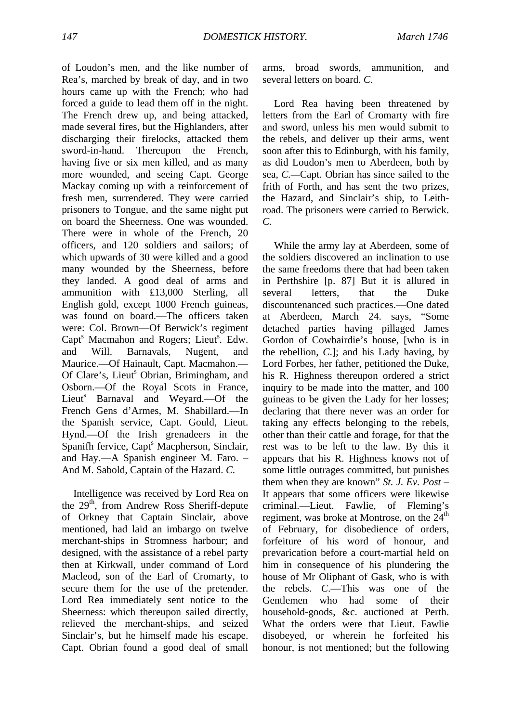of Loudon's men, and the like number of Rea's, marched by break of day, and in two hours came up with the French; who had forced a guide to lead them off in the night. The French drew up, and being attacked, made several fires, but the Highlanders, after discharging their firelocks, attacked them sword-in-hand. Thereupon the French, having five or six men killed, and as many more wounded, and seeing Capt. George Mackay coming up with a reinforcement of fresh men, surrendered. They were carried prisoners to Tongue, and the same night put on board the Sheerness. One was wounded. There were in whole of the French, 20 officers, and 120 soldiers and sailors; of which upwards of 30 were killed and a good many wounded by the Sheerness, before they landed. A good deal of arms and ammunition with £13,000 Sterling, all English gold, except 1000 French guineas, was found on board.—The officers taken were: Col. Brown—Of Berwick's regiment Capt<sup>s</sup> Macmahon and Rogers; Lieut<sup>s</sup>. Edw. and Will. Barnavals, Nugent, and Maurice.—Of Hainault, Capt. Macmahon.— Of Clare's, Lieut<sup>s</sup> Obrian, Brimingham, and Osborn.—Of the Royal Scots in France, Lieut<sup>s</sup> Barnaval and Weyard.—Of the French Gens d'Armes, M. Shabillard.—In the Spanish service, Capt. Gould, Lieut. Hynd.—Of the Irish grenadeers in the Spanifh fervice, Capt<sup>s</sup> Macpherson, Sinclair, and Hay.—A Spanish engineer M. Faro. – And M. Sabold, Captain of the Hazard. *C.*

Intelligence was received by Lord Rea on the 29<sup>th</sup>, from Andrew Ross Sheriff-depute of Orkney that Captain Sinclair, above mentioned, had laid an imbargo on twelve merchant-ships in Stromness harbour; and designed, with the assistance of a rebel party then at Kirkwall, under command of Lord Macleod, son of the Earl of Cromarty, to secure them for the use of the pretender. Lord Rea immediately sent notice to the Sheerness: which thereupon sailed directly, relieved the merchant-ships, and seized Sinclair's, but he himself made his escape. Capt. Obrian found a good deal of small

arms, broad swords, ammunition, and several letters on board. *C.*

Lord Rea having been threatened by letters from the Earl of Cromarty with fire and sword, unless his men would submit to the rebels, and deliver up their arms, went soon after this to Edinburgh, with his family, as did Loudon's men to Aberdeen, both by sea, *C.—*Capt. Obrian has since sailed to the frith of Forth, and has sent the two prizes, the Hazard, and Sinclair's ship, to Leithroad. The prisoners were carried to Berwick. *C.*

While the army lay at Aberdeen, some of the soldiers discovered an inclination to use the same freedoms there that had been taken in Perthshire [p. 87] But it is allured in several letters, that the Duke discountenanced such practices.—One dated at Aberdeen, March 24. says, "Some detached parties having pillaged James Gordon of Cowbairdie's house, [who is in the rebellion, *C*.]; and his Lady having, by Lord Forbes, her father, petitioned the Duke, his R. Highness thereupon ordered a strict inquiry to be made into the matter, and 100 guineas to be given the Lady for her losses; declaring that there never was an order for taking any effects belonging to the rebels, other than their cattle and forage, for that the rest was to be left to the law. By this it appears that his R. Highness knows not of some little outrages committed, but punishes them when they are known" *St. J. Ev. Post* – It appears that some officers were likewise criminal.—Lieut. Fawlie, of Fleming's regiment, was broke at Montrose, on the  $24<sup>th</sup>$ of February, for disobedience of orders, forfeiture of his word of honour, and prevarication before a court-martial held on him in consequence of his plundering the house of Mr Oliphant of Gask, who is with the rebels. *C*.—This was one of the Gentlemen who had some of their household-goods, &c. auctioned at Perth. What the orders were that Lieut. Fawlie disobeyed, or wherein he forfeited his honour, is not mentioned; but the following